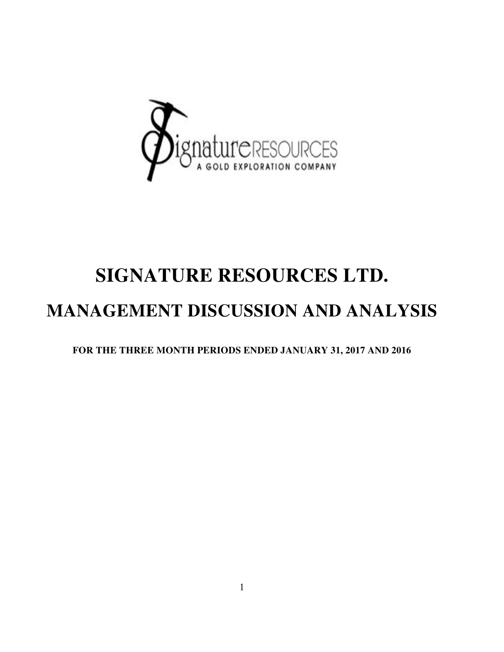

# **SIGNATURE RESOURCES LTD. MANAGEMENT DISCUSSION AND ANALYSIS**

**FOR THE THREE MONTH PERIODS ENDED JANUARY 31, 2017 AND 2016**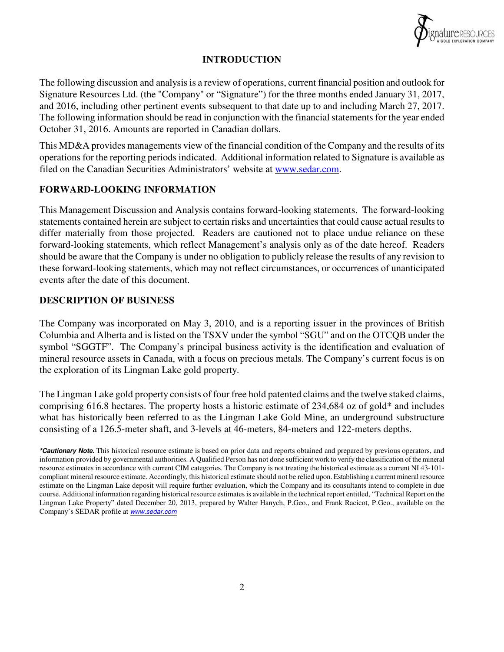

#### **INTRODUCTION**

The following discussion and analysis is a review of operations, current financial position and outlook for Signature Resources Ltd. (the "Company" or "Signature") for the three months ended January 31, 2017, and 2016, including other pertinent events subsequent to that date up to and including March 27, 2017. The following information should be read in conjunction with the financial statements for the year ended October 31, 2016. Amounts are reported in Canadian dollars.

This MD&A provides managements view of the financial condition of the Company and the results of its operations for the reporting periods indicated. Additional information related to Signature is available as filed on the Canadian Securities Administrators' website at www.sedar.com.

#### **FORWARD-LOOKING INFORMATION**

This Management Discussion and Analysis contains forward-looking statements. The forward-looking statements contained herein are subject to certain risks and uncertainties that could cause actual results to differ materially from those projected. Readers are cautioned not to place undue reliance on these forward-looking statements, which reflect Management's analysis only as of the date hereof. Readers should be aware that the Company is under no obligation to publicly release the results of any revision to these forward-looking statements, which may not reflect circumstances, or occurrences of unanticipated events after the date of this document.

#### **DESCRIPTION OF BUSINESS**

The Company was incorporated on May 3, 2010, and is a reporting issuer in the provinces of British Columbia and Alberta and is listed on the TSXV under the symbol "SGU" and on the OTCQB under the symbol "SGGTF". The Company's principal business activity is the identification and evaluation of mineral resource assets in Canada, with a focus on precious metals. The Company's current focus is on the exploration of its Lingman Lake gold property.

The Lingman Lake gold property consists of four free hold patented claims and the twelve staked claims, comprising 616.8 hectares. The property hosts a historic estimate of 234,684 oz of gold\* and includes what has historically been referred to as the Lingman Lake Gold Mine, an underground substructure consisting of a 126.5-meter shaft, and 3-levels at 46-meters, 84-meters and 122-meters depths.

**<sup>\*</sup>Cautionary Note.** This historical resource estimate is based on prior data and reports obtained and prepared by previous operators, and information provided by governmental authorities. A Qualified Person has not done sufficient work to verify the classification of the mineral resource estimates in accordance with current CIM categories. The Company is not treating the historical estimate as a current NI 43-101 compliant mineral resource estimate. Accordingly, this historical estimate should not be relied upon. Establishing a current mineral resource estimate on the Lingman Lake deposit will require further evaluation, which the Company and its consultants intend to complete in due course. Additional information regarding historical resource estimates is available in the technical report entitled, "Technical Report on the Lingman Lake Property" dated December 20, 2013, prepared by Walter Hanych, P.Geo., and Frank Racicot, P.Geo., available on the Company's SEDAR profile at **www.sedar.com**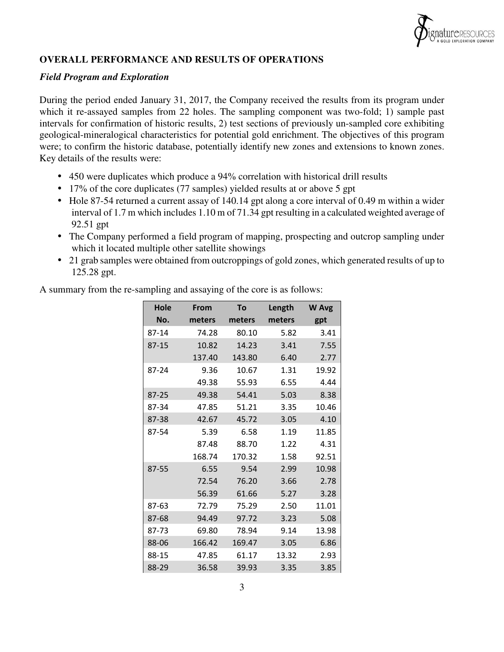

## **OVERALL PERFORMANCE AND RESULTS OF OPERATIONS**

#### *Field Program and Exploration*

During the period ended January 31, 2017, the Company received the results from its program under which it re-assayed samples from 22 holes. The sampling component was two-fold; 1) sample past intervals for confirmation of historic results, 2) test sections of previously un-sampled core exhibiting geological-mineralogical characteristics for potential gold enrichment. The objectives of this program were; to confirm the historic database, potentially identify new zones and extensions to known zones. Key details of the results were:

- 450 were duplicates which produce a 94% correlation with historical drill results
- 17% of the core duplicates (77 samples) yielded results at or above 5 gpt
- Hole 87-54 returned a current assay of 140.14 gpt along a core interval of 0.49 m within a wider interval of 1.7 m which includes 1.10 m of 71.34 gpt resulting in a calculated weighted average of 92.51 gpt
- The Company performed a field program of mapping, prospecting and outcrop sampling under which it located multiple other satellite showings
- 21 grab samples were obtained from outcroppings of gold zones, which generated results of up to 125.28 gpt.

A summary from the re-sampling and assaying of the core is as follows:

| Hole      | <b>From</b> | To     | Length | <b>W</b> Avg |
|-----------|-------------|--------|--------|--------------|
| No.       | meters      | meters | meters | gpt          |
| 87-14     | 74.28       | 80.10  | 5.82   | 3.41         |
| $87 - 15$ | 10.82       | 14.23  | 3.41   | 7.55         |
|           | 137.40      | 143.80 | 6.40   | 2.77         |
| 87-24     | 9.36        | 10.67  | 1.31   | 19.92        |
|           | 49.38       | 55.93  | 6.55   | 4.44         |
| 87-25     | 49.38       | 54.41  | 5.03   | 8.38         |
| 87-34     | 47.85       | 51.21  | 3.35   | 10.46        |
| 87-38     | 42.67       | 45.72  | 3.05   | 4.10         |
| 87-54     | 5.39        | 6.58   | 1.19   | 11.85        |
|           | 87.48       | 88.70  | 1.22   | 4.31         |
|           | 168.74      | 170.32 | 1.58   | 92.51        |
| 87-55     | 6.55        | 9.54   | 2.99   | 10.98        |
|           | 72.54       | 76.20  | 3.66   | 2.78         |
|           | 56.39       | 61.66  | 5.27   | 3.28         |
| 87-63     | 72.79       | 75.29  | 2.50   | 11.01        |
| 87-68     | 94.49       | 97.72  | 3.23   | 5.08         |
| 87-73     | 69.80       | 78.94  | 9.14   | 13.98        |
| 88-06     | 166.42      | 169.47 | 3.05   | 6.86         |
| 88-15     | 47.85       | 61.17  | 13.32  | 2.93         |
| 88-29     | 36.58       | 39.93  | 3.35   | 3.85         |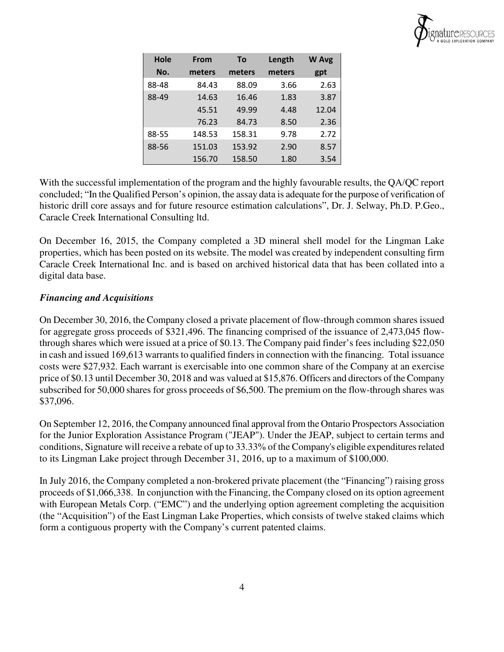

| Hole<br>No. | <b>From</b><br>meters | To<br>meters | Length<br>meters | <b>W</b> Avg<br>gpt |
|-------------|-----------------------|--------------|------------------|---------------------|
| 88-48       | 84.43                 | 88.09        | 3.66             | 2.63                |
| 88-49       | 14.63                 | 16.46        | 1.83             | 3.87                |
|             | 45.51                 | 49.99        | 4.48             | 12.04               |
|             | 76.23                 | 84.73        | 8.50             | 2.36                |
| 88-55       | 148.53                | 158.31       | 9.78             | 2.72                |
| 88-56       | 151.03                | 153.92       | 2.90             | 8.57                |
|             | 156.70                | 158.50       | 1.80             | 3.54                |

With the successful implementation of the program and the highly favourable results, the QA/QC report concluded; "In the Qualified Person's opinion, the assay data is adequate for the purpose of verification of historic drill core assays and for future resource estimation calculations", Dr. J. Selway, Ph.D. P.Geo., Caracle Creek International Consulting ltd.

On December 16, 2015, the Company completed a 3D mineral shell model for the Lingman Lake properties, which has been posted on its website. The model was created by independent consulting firm Caracle Creek International Inc. and is based on archived historical data that has been collated into a digital data base.

## *Financing and Acquisitions*

On December 30, 2016, the Company closed a private placement of flow-through common shares issued for aggregate gross proceeds of \$321,496. The financing comprised of the issuance of 2,473,045 flowthrough shares which were issued at a price of \$0.13. The Company paid finder's fees including \$22,050 in cash and issued 169,613 warrants to qualified finders in connection with the financing. Total issuance costs were \$27,932. Each warrant is exercisable into one common share of the Company at an exercise price of \$0.13 until December 30, 2018 and was valued at \$15,876. Officers and directors of the Company subscribed for 50,000 shares for gross proceeds of \$6,500. The premium on the flow-through shares was \$37,096.

On September 12, 2016, the Company announced final approval from the Ontario Prospectors Association for the Junior Exploration Assistance Program ("JEAP"). Under the JEAP, subject to certain terms and conditions, Signature will receive a rebate of up to 33.33% of the Company's eligible expenditures related to its Lingman Lake project through December 31, 2016, up to a maximum of \$100,000.

In July 2016, the Company completed a non-brokered private placement (the "Financing") raising gross proceeds of \$1,066,338. In conjunction with the Financing, the Company closed on its option agreement with European Metals Corp. ("EMC") and the underlying option agreement completing the acquisition (the "Acquisition") of the East Lingman Lake Properties, which consists of twelve staked claims which form a contiguous property with the Company's current patented claims.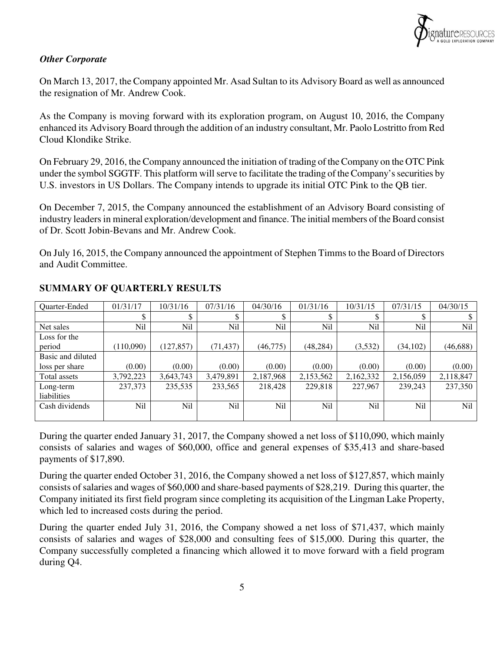

# *Other Corporate*

On March 13, 2017, the Company appointed Mr. Asad Sultan to its Advisory Board as well as announced the resignation of Mr. Andrew Cook.

As the Company is moving forward with its exploration program, on August 10, 2016, the Company enhanced its Advisory Board through the addition of an industry consultant, Mr. Paolo Lostritto from Red Cloud Klondike Strike.

On February 29, 2016, the Company announced the initiation of trading of the Company on the OTC Pink under the symbol SGGTF. This platform will serve to facilitate the trading of the Company's securities by U.S. investors in US Dollars. The Company intends to upgrade its initial OTC Pink to the QB tier.

On December 7, 2015, the Company announced the establishment of an Advisory Board consisting of industry leaders in mineral exploration/development and finance. The initial members of the Board consist of Dr. Scott Jobin-Bevans and Mr. Andrew Cook.

On July 16, 2015, the Company announced the appointment of Stephen Timms to the Board of Directors and Audit Committee.

| Quarter-Ended     | 01/31/17   | 10/31/16   | 07/31/16  | 04/30/16   | 01/31/16  | 10/31/15  | 07/31/15  | 04/30/15  |
|-------------------|------------|------------|-----------|------------|-----------|-----------|-----------|-----------|
|                   | \$         | ¢          | ¢         | ¢          |           |           |           |           |
| Net sales         | <b>Nil</b> | Nil        | Nil       | <b>Nil</b> | Nil       | Nil       | Nil       | Nil       |
| Loss for the      |            |            |           |            |           |           |           |           |
| period            | (110,090)  | (127, 857) | (71, 437) | (46, 775)  | (48, 284) | (3,532)   | (34, 102) | (46, 688) |
| Basic and diluted |            |            |           |            |           |           |           |           |
| loss per share    | (0.00)     | (0.00)     | (0.00)    | (0.00)     | (0.00)    | (0.00)    | (0.00)    | (0.00)    |
| Total assets      | 3,792,223  | 3,643,743  | 3,479,891 | 2,187,968  | 2,153,562 | 2,162,332 | 2,156,059 | 2,118,847 |
| Long-term         | 237,373    | 235,535    | 233,565   | 218,428    | 229,818   | 227,967   | 239,243   | 237,350   |
| liabilities       |            |            |           |            |           |           |           |           |
| Cash dividends    | Nil        | Nil        | Nil       | Nil        | Nil       | Nil       | Nil       | Nil       |
|                   |            |            |           |            |           |           |           |           |

## **SUMMARY OF QUARTERLY RESULTS**

During the quarter ended January 31, 2017, the Company showed a net loss of \$110,090, which mainly consists of salaries and wages of \$60,000, office and general expenses of \$35,413 and share-based payments of \$17,890.

During the quarter ended October 31, 2016, the Company showed a net loss of \$127,857, which mainly consists of salaries and wages of \$60,000 and share-based payments of \$28,219. During this quarter, the Company initiated its first field program since completing its acquisition of the Lingman Lake Property, which led to increased costs during the period.

During the quarter ended July 31, 2016, the Company showed a net loss of \$71,437, which mainly consists of salaries and wages of \$28,000 and consulting fees of \$15,000. During this quarter, the Company successfully completed a financing which allowed it to move forward with a field program during Q4.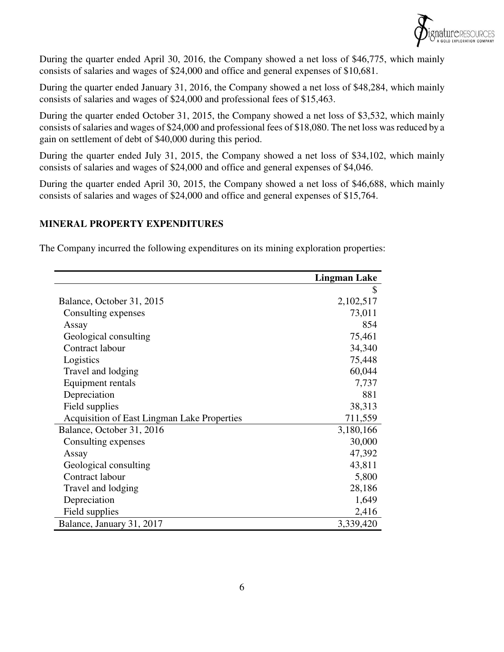

During the quarter ended April 30, 2016, the Company showed a net loss of \$46,775, which mainly consists of salaries and wages of \$24,000 and office and general expenses of \$10,681.

During the quarter ended January 31, 2016, the Company showed a net loss of \$48,284, which mainly consists of salaries and wages of \$24,000 and professional fees of \$15,463.

During the quarter ended October 31, 2015, the Company showed a net loss of \$3,532, which mainly consists of salaries and wages of \$24,000 and professional fees of \$18,080. The net loss was reduced by a gain on settlement of debt of \$40,000 during this period.

During the quarter ended July 31, 2015, the Company showed a net loss of \$34,102, which mainly consists of salaries and wages of \$24,000 and office and general expenses of \$4,046.

During the quarter ended April 30, 2015, the Company showed a net loss of \$46,688, which mainly consists of salaries and wages of \$24,000 and office and general expenses of \$15,764.

## **MINERAL PROPERTY EXPENDITURES**

The Company incurred the following expenditures on its mining exploration properties:

|                                             | <b>Lingman Lake</b> |
|---------------------------------------------|---------------------|
|                                             | \$                  |
| Balance, October 31, 2015                   | 2,102,517           |
| Consulting expenses                         | 73,011              |
| Assay                                       | 854                 |
| Geological consulting                       | 75,461              |
| Contract labour                             | 34,340              |
| Logistics                                   | 75,448              |
| Travel and lodging                          | 60,044              |
| <b>Equipment rentals</b>                    | 7,737               |
| Depreciation                                | 881                 |
| Field supplies                              | 38,313              |
| Acquisition of East Lingman Lake Properties | 711,559             |
| Balance, October 31, 2016                   | 3,180,166           |
| Consulting expenses                         | 30,000              |
| Assay                                       | 47,392              |
| Geological consulting                       | 43,811              |
| Contract labour                             | 5,800               |
| Travel and lodging                          | 28,186              |
| Depreciation                                | 1,649               |
| Field supplies                              | 2,416               |
| Balance, January 31, 2017                   | 3,339,420           |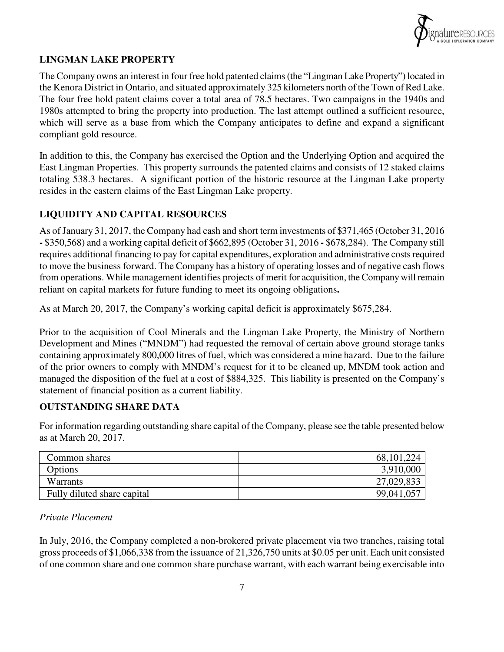

# **LINGMAN LAKE PROPERTY**

The Company owns an interest in four free hold patented claims (the "Lingman Lake Property") located in the Kenora District in Ontario, and situated approximately 325 kilometers north of the Town of Red Lake. The four free hold patent claims cover a total area of 78.5 hectares. Two campaigns in the 1940s and 1980s attempted to bring the property into production. The last attempt outlined a sufficient resource, which will serve as a base from which the Company anticipates to define and expand a significant compliant gold resource.

In addition to this, the Company has exercised the Option and the Underlying Option and acquired the East Lingman Properties. This property surrounds the patented claims and consists of 12 staked claims totaling 538.3 hectares. A significant portion of the historic resource at the Lingman Lake property resides in the eastern claims of the East Lingman Lake property.

# **LIQUIDITY AND CAPITAL RESOURCES**

As of January 31, 2017, the Company had cash and short term investments of \$371,465 (October 31, 2016 **-** \$350,568) and a working capital deficit of \$662,895 (October 31, 2016 **-** \$678,284). The Company still requires additional financing to pay for capital expenditures, exploration and administrative costs required to move the business forward. The Company has a history of operating losses and of negative cash flows from operations. While management identifies projects of merit for acquisition, the Company will remain reliant on capital markets for future funding to meet its ongoing obligations**.** 

As at March 20, 2017, the Company's working capital deficit is approximately \$675,284.

Prior to the acquisition of Cool Minerals and the Lingman Lake Property, the Ministry of Northern Development and Mines ("MNDM") had requested the removal of certain above ground storage tanks containing approximately 800,000 litres of fuel, which was considered a mine hazard. Due to the failure of the prior owners to comply with MNDM's request for it to be cleaned up, MNDM took action and managed the disposition of the fuel at a cost of \$884,325. This liability is presented on the Company's statement of financial position as a current liability.

# **OUTSTANDING SHARE DATA**

For information regarding outstanding share capital of the Company, please see the table presented below as at March 20, 2017.

| Common shares               | 68, 101, 224 |
|-----------------------------|--------------|
| Options                     | 3,910,000    |
| Warrants                    | 27,029,833   |
| Fully diluted share capital | 99,041,057   |

# *Private Placement*

In July, 2016, the Company completed a non-brokered private placement via two tranches, raising total gross proceeds of \$1,066,338 from the issuance of 21,326,750 units at \$0.05 per unit. Each unit consisted of one common share and one common share purchase warrant, with each warrant being exercisable into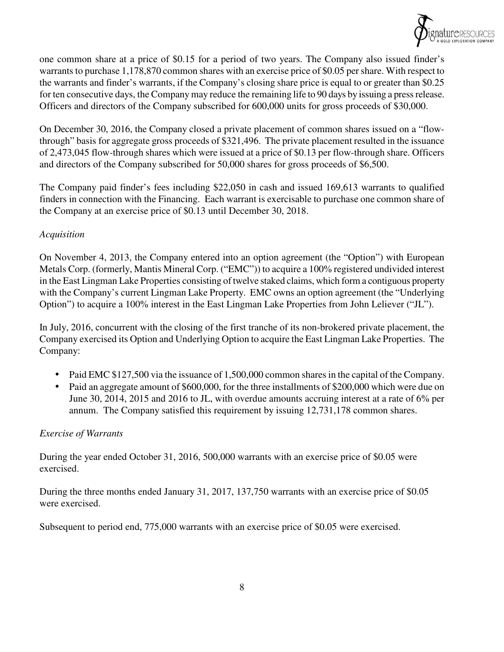

one common share at a price of \$0.15 for a period of two years. The Company also issued finder's warrants to purchase 1,178,870 common shares with an exercise price of \$0.05 per share. With respect to the warrants and finder's warrants, if the Company's closing share price is equal to or greater than \$0.25 for ten consecutive days, the Company may reduce the remaining life to 90 days by issuing a press release. Officers and directors of the Company subscribed for 600,000 units for gross proceeds of \$30,000.

On December 30, 2016, the Company closed a private placement of common shares issued on a "flowthrough" basis for aggregate gross proceeds of \$321,496. The private placement resulted in the issuance of 2,473,045 flow-through shares which were issued at a price of \$0.13 per flow-through share. Officers and directors of the Company subscribed for 50,000 shares for gross proceeds of \$6,500.

The Company paid finder's fees including \$22,050 in cash and issued 169,613 warrants to qualified finders in connection with the Financing. Each warrant is exercisable to purchase one common share of the Company at an exercise price of \$0.13 until December 30, 2018.

## *Acquisition*

On November 4, 2013, the Company entered into an option agreement (the "Option") with European Metals Corp. (formerly, Mantis Mineral Corp. ("EMC")) to acquire a 100% registered undivided interest in the East Lingman Lake Properties consisting of twelve staked claims, which form a contiguous property with the Company's current Lingman Lake Property. EMC owns an option agreement (the "Underlying Option") to acquire a 100% interest in the East Lingman Lake Properties from John Leliever ("JL").

In July, 2016, concurrent with the closing of the first tranche of its non-brokered private placement, the Company exercised its Option and Underlying Option to acquire the East Lingman Lake Properties. The Company:

- Paid EMC \$127,500 via the issuance of 1,500,000 common shares in the capital of the Company.
- Paid an aggregate amount of \$600,000, for the three installments of \$200,000 which were due on June 30, 2014, 2015 and 2016 to JL, with overdue amounts accruing interest at a rate of 6% per annum. The Company satisfied this requirement by issuing 12,731,178 common shares.

## *Exercise of Warrants*

During the year ended October 31, 2016, 500,000 warrants with an exercise price of \$0.05 were exercised.

During the three months ended January 31, 2017, 137,750 warrants with an exercise price of \$0.05 were exercised.

Subsequent to period end, 775,000 warrants with an exercise price of \$0.05 were exercised.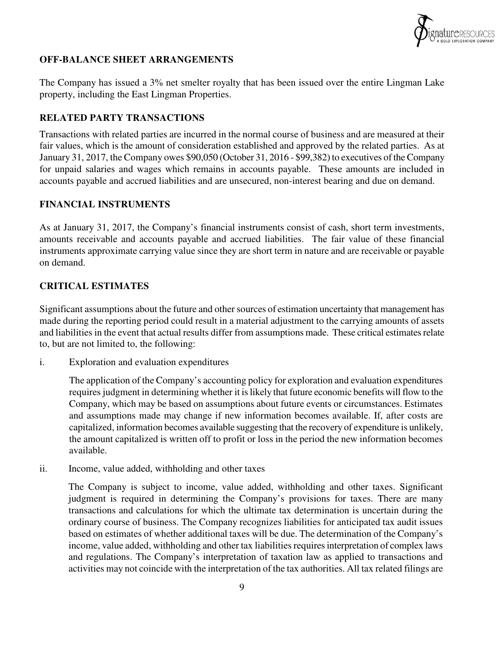

## **OFF-BALANCE SHEET ARRANGEMENTS**

The Company has issued a 3% net smelter royalty that has been issued over the entire Lingman Lake property, including the East Lingman Properties.

## **RELATED PARTY TRANSACTIONS**

Transactions with related parties are incurred in the normal course of business and are measured at their fair values, which is the amount of consideration established and approved by the related parties. As at January 31, 2017, the Company owes \$90,050 (October 31, 2016 - \$99,382) to executives of the Company for unpaid salaries and wages which remains in accounts payable. These amounts are included in accounts payable and accrued liabilities and are unsecured, non-interest bearing and due on demand.

## **FINANCIAL INSTRUMENTS**

As at January 31, 2017, the Company's financial instruments consist of cash, short term investments, amounts receivable and accounts payable and accrued liabilities. The fair value of these financial instruments approximate carrying value since they are short term in nature and are receivable or payable on demand.

## **CRITICAL ESTIMATES**

Significant assumptions about the future and other sources of estimation uncertainty that management has made during the reporting period could result in a material adjustment to the carrying amounts of assets and liabilities in the event that actual results differ from assumptions made. These critical estimates relate to, but are not limited to, the following:

i. Exploration and evaluation expenditures

The application of the Company's accounting policy for exploration and evaluation expenditures requires judgment in determining whether it is likely that future economic benefits will flow to the Company, which may be based on assumptions about future events or circumstances. Estimates and assumptions made may change if new information becomes available. If, after costs are capitalized, information becomes available suggesting that the recovery of expenditure is unlikely, the amount capitalized is written off to profit or loss in the period the new information becomes available.

ii. Income, value added, withholding and other taxes

The Company is subject to income, value added, withholding and other taxes. Significant judgment is required in determining the Company's provisions for taxes. There are many transactions and calculations for which the ultimate tax determination is uncertain during the ordinary course of business. The Company recognizes liabilities for anticipated tax audit issues based on estimates of whether additional taxes will be due. The determination of the Company's income, value added, withholding and other tax liabilities requires interpretation of complex laws and regulations. The Company's interpretation of taxation law as applied to transactions and activities may not coincide with the interpretation of the tax authorities. All tax related filings are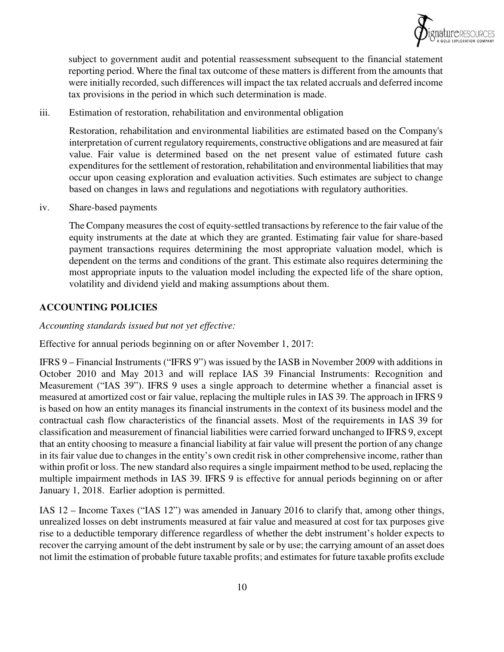

subject to government audit and potential reassessment subsequent to the financial statement reporting period. Where the final tax outcome of these matters is different from the amounts that were initially recorded, such differences will impact the tax related accruals and deferred income tax provisions in the period in which such determination is made.

iii. Estimation of restoration, rehabilitation and environmental obligation

Restoration, rehabilitation and environmental liabilities are estimated based on the Company's interpretation of current regulatory requirements, constructive obligations and are measured at fair value. Fair value is determined based on the net present value of estimated future cash expenditures for the settlement of restoration, rehabilitation and environmental liabilities that may occur upon ceasing exploration and evaluation activities. Such estimates are subject to change based on changes in laws and regulations and negotiations with regulatory authorities.

iv. Share-based payments

The Company measures the cost of equity-settled transactions by reference to the fair value of the equity instruments at the date at which they are granted. Estimating fair value for share-based payment transactions requires determining the most appropriate valuation model, which is dependent on the terms and conditions of the grant. This estimate also requires determining the most appropriate inputs to the valuation model including the expected life of the share option, volatility and dividend yield and making assumptions about them.

## **ACCOUNTING POLICIES**

*Accounting standards issued but not yet effective:* 

Effective for annual periods beginning on or after November 1, 2017:

IFRS 9 – Financial Instruments ("IFRS 9") was issued by the IASB in November 2009 with additions in October 2010 and May 2013 and will replace IAS 39 Financial Instruments: Recognition and Measurement ("IAS 39"). IFRS 9 uses a single approach to determine whether a financial asset is measured at amortized cost or fair value, replacing the multiple rules in IAS 39. The approach in IFRS 9 is based on how an entity manages its financial instruments in the context of its business model and the contractual cash flow characteristics of the financial assets. Most of the requirements in IAS 39 for classification and measurement of financial liabilities were carried forward unchanged to IFRS 9, except that an entity choosing to measure a financial liability at fair value will present the portion of any change in its fair value due to changes in the entity's own credit risk in other comprehensive income, rather than within profit or loss. The new standard also requires a single impairment method to be used, replacing the multiple impairment methods in IAS 39. IFRS 9 is effective for annual periods beginning on or after January 1, 2018. Earlier adoption is permitted.

IAS 12 – Income Taxes ("IAS 12") was amended in January 2016 to clarify that, among other things, unrealized losses on debt instruments measured at fair value and measured at cost for tax purposes give rise to a deductible temporary difference regardless of whether the debt instrument's holder expects to recover the carrying amount of the debt instrument by sale or by use; the carrying amount of an asset does not limit the estimation of probable future taxable profits; and estimates for future taxable profits exclude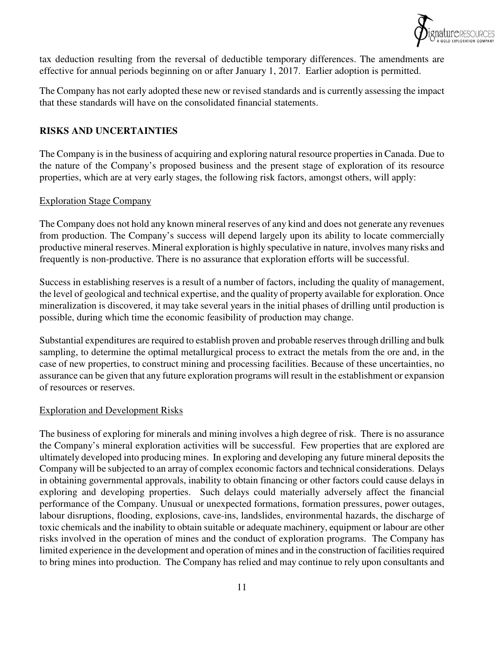

tax deduction resulting from the reversal of deductible temporary differences. The amendments are effective for annual periods beginning on or after January 1, 2017. Earlier adoption is permitted.

The Company has not early adopted these new or revised standards and is currently assessing the impact that these standards will have on the consolidated financial statements.

## **RISKS AND UNCERTAINTIES**

The Company is in the business of acquiring and exploring natural resource properties in Canada. Due to the nature of the Company's proposed business and the present stage of exploration of its resource properties, which are at very early stages, the following risk factors, amongst others, will apply:

#### Exploration Stage Company

The Company does not hold any known mineral reserves of any kind and does not generate any revenues from production. The Company's success will depend largely upon its ability to locate commercially productive mineral reserves. Mineral exploration is highly speculative in nature, involves many risks and frequently is non-productive. There is no assurance that exploration efforts will be successful.

Success in establishing reserves is a result of a number of factors, including the quality of management, the level of geological and technical expertise, and the quality of property available for exploration. Once mineralization is discovered, it may take several years in the initial phases of drilling until production is possible, during which time the economic feasibility of production may change.

Substantial expenditures are required to establish proven and probable reserves through drilling and bulk sampling, to determine the optimal metallurgical process to extract the metals from the ore and, in the case of new properties, to construct mining and processing facilities. Because of these uncertainties, no assurance can be given that any future exploration programs will result in the establishment or expansion of resources or reserves.

#### Exploration and Development Risks

The business of exploring for minerals and mining involves a high degree of risk. There is no assurance the Company's mineral exploration activities will be successful. Few properties that are explored are ultimately developed into producing mines. In exploring and developing any future mineral deposits the Company will be subjected to an array of complex economic factors and technical considerations. Delays in obtaining governmental approvals, inability to obtain financing or other factors could cause delays in exploring and developing properties. Such delays could materially adversely affect the financial performance of the Company. Unusual or unexpected formations, formation pressures, power outages, labour disruptions, flooding, explosions, cave-ins, landslides, environmental hazards, the discharge of toxic chemicals and the inability to obtain suitable or adequate machinery, equipment or labour are other risks involved in the operation of mines and the conduct of exploration programs. The Company has limited experience in the development and operation of mines and in the construction of facilities required to bring mines into production. The Company has relied and may continue to rely upon consultants and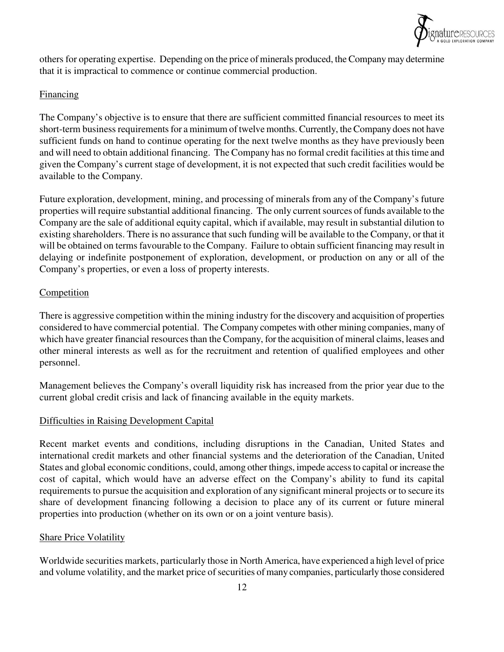

others for operating expertise. Depending on the price of minerals produced, the Company may determine that it is impractical to commence or continue commercial production.

## **Financing**

The Company's objective is to ensure that there are sufficient committed financial resources to meet its short-term business requirements for a minimum of twelve months. Currently, the Company does not have sufficient funds on hand to continue operating for the next twelve months as they have previously been and will need to obtain additional financing. The Company has no formal credit facilities at this time and given the Company's current stage of development, it is not expected that such credit facilities would be available to the Company.

Future exploration, development, mining, and processing of minerals from any of the Company's future properties will require substantial additional financing. The only current sources of funds available to the Company are the sale of additional equity capital, which if available, may result in substantial dilution to existing shareholders. There is no assurance that such funding will be available to the Company, or that it will be obtained on terms favourable to the Company. Failure to obtain sufficient financing may result in delaying or indefinite postponement of exploration, development, or production on any or all of the Company's properties, or even a loss of property interests.

## **Competition**

There is aggressive competition within the mining industry for the discovery and acquisition of properties considered to have commercial potential. The Company competes with other mining companies, many of which have greater financial resources than the Company, for the acquisition of mineral claims, leases and other mineral interests as well as for the recruitment and retention of qualified employees and other personnel.

Management believes the Company's overall liquidity risk has increased from the prior year due to the current global credit crisis and lack of financing available in the equity markets.

# Difficulties in Raising Development Capital

Recent market events and conditions, including disruptions in the Canadian, United States and international credit markets and other financial systems and the deterioration of the Canadian, United States and global economic conditions, could, among other things, impede access to capital or increase the cost of capital, which would have an adverse effect on the Company's ability to fund its capital requirements to pursue the acquisition and exploration of any significant mineral projects or to secure its share of development financing following a decision to place any of its current or future mineral properties into production (whether on its own or on a joint venture basis).

## Share Price Volatility

Worldwide securities markets, particularly those in North America, have experienced a high level of price and volume volatility, and the market price of securities of many companies, particularly those considered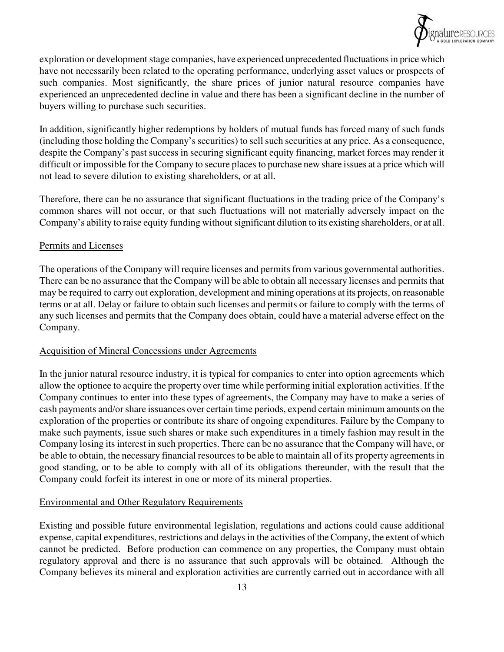

exploration or development stage companies, have experienced unprecedented fluctuations in price which have not necessarily been related to the operating performance, underlying asset values or prospects of such companies. Most significantly, the share prices of junior natural resource companies have experienced an unprecedented decline in value and there has been a significant decline in the number of buyers willing to purchase such securities.

In addition, significantly higher redemptions by holders of mutual funds has forced many of such funds (including those holding the Company's securities) to sell such securities at any price. As a consequence, despite the Company's past success in securing significant equity financing, market forces may render it difficult or impossible for the Company to secure places to purchase new share issues at a price which will not lead to severe dilution to existing shareholders, or at all.

Therefore, there can be no assurance that significant fluctuations in the trading price of the Company's common shares will not occur, or that such fluctuations will not materially adversely impact on the Company's ability to raise equity funding without significant dilution to its existing shareholders, or at all.

#### Permits and Licenses

The operations of the Company will require licenses and permits from various governmental authorities. There can be no assurance that the Company will be able to obtain all necessary licenses and permits that may be required to carry out exploration, development and mining operations at its projects, on reasonable terms or at all. Delay or failure to obtain such licenses and permits or failure to comply with the terms of any such licenses and permits that the Company does obtain, could have a material adverse effect on the Company.

## Acquisition of Mineral Concessions under Agreements

In the junior natural resource industry, it is typical for companies to enter into option agreements which allow the optionee to acquire the property over time while performing initial exploration activities. If the Company continues to enter into these types of agreements, the Company may have to make a series of cash payments and/or share issuances over certain time periods, expend certain minimum amounts on the exploration of the properties or contribute its share of ongoing expenditures. Failure by the Company to make such payments, issue such shares or make such expenditures in a timely fashion may result in the Company losing its interest in such properties. There can be no assurance that the Company will have, or be able to obtain, the necessary financial resources to be able to maintain all of its property agreements in good standing, or to be able to comply with all of its obligations thereunder, with the result that the Company could forfeit its interest in one or more of its mineral properties.

## Environmental and Other Regulatory Requirements

Existing and possible future environmental legislation, regulations and actions could cause additional expense, capital expenditures, restrictions and delays in the activities of the Company, the extent of which cannot be predicted. Before production can commence on any properties, the Company must obtain regulatory approval and there is no assurance that such approvals will be obtained. Although the Company believes its mineral and exploration activities are currently carried out in accordance with all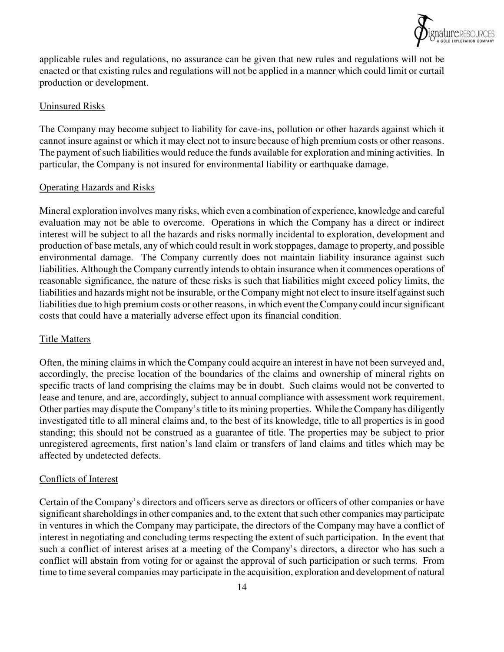

applicable rules and regulations, no assurance can be given that new rules and regulations will not be enacted or that existing rules and regulations will not be applied in a manner which could limit or curtail production or development.

## Uninsured Risks

The Company may become subject to liability for cave-ins, pollution or other hazards against which it cannot insure against or which it may elect not to insure because of high premium costs or other reasons. The payment of such liabilities would reduce the funds available for exploration and mining activities. In particular, the Company is not insured for environmental liability or earthquake damage.

## Operating Hazards and Risks

Mineral exploration involves many risks, which even a combination of experience, knowledge and careful evaluation may not be able to overcome. Operations in which the Company has a direct or indirect interest will be subject to all the hazards and risks normally incidental to exploration, development and production of base metals, any of which could result in work stoppages, damage to property, and possible environmental damage. The Company currently does not maintain liability insurance against such liabilities. Although the Company currently intends to obtain insurance when it commences operations of reasonable significance, the nature of these risks is such that liabilities might exceed policy limits, the liabilities and hazards might not be insurable, or the Company might not elect to insure itself against such liabilities due to high premium costs or other reasons, in which event the Company could incur significant costs that could have a materially adverse effect upon its financial condition.

# Title Matters

Often, the mining claims in which the Company could acquire an interest in have not been surveyed and, accordingly, the precise location of the boundaries of the claims and ownership of mineral rights on specific tracts of land comprising the claims may be in doubt. Such claims would not be converted to lease and tenure, and are, accordingly, subject to annual compliance with assessment work requirement. Other parties may dispute the Company's title to its mining properties. While the Company has diligently investigated title to all mineral claims and, to the best of its knowledge, title to all properties is in good standing; this should not be construed as a guarantee of title. The properties may be subject to prior unregistered agreements, first nation's land claim or transfers of land claims and titles which may be affected by undetected defects.

## Conflicts of Interest

Certain of the Company's directors and officers serve as directors or officers of other companies or have significant shareholdings in other companies and, to the extent that such other companies may participate in ventures in which the Company may participate, the directors of the Company may have a conflict of interest in negotiating and concluding terms respecting the extent of such participation. In the event that such a conflict of interest arises at a meeting of the Company's directors, a director who has such a conflict will abstain from voting for or against the approval of such participation or such terms. From time to time several companies may participate in the acquisition, exploration and development of natural